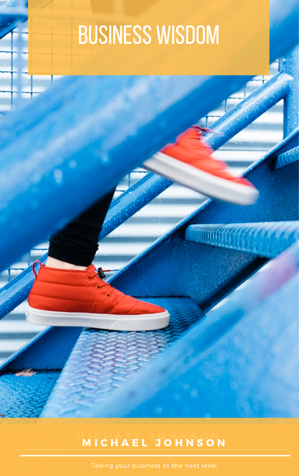Taking your business to the next level. Taking your business to the next level.

## M I C H A E L. J O H N S O N. M I C H A E L J O H N S O N

## BUSINESS WISDOM

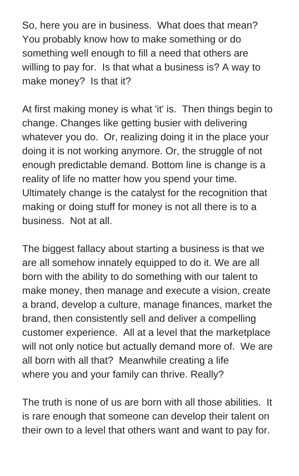So, here you are in business. What does that mean? You probably know how to make something or do something well enough to fill a need that others are willing to pay for. Is that what a business is? A way to make money? Is that it?

At first making money is what 'it' is. Then things begin to change. Changes like getting busier with delivering whatever you do. Or, realizing doing it in the place your doing it is not working anymore. Or, the struggle of not enough predictable demand. Bottom line is change is a reality of life no matter how you spend your time. Ultimately change is the catalyst for the recognition that making or doing stuff for money is not all there is to a business. Not at all.

The biggest fallacy about starting a business is that we are all somehow innately equipped to do it. We are all born with the ability to do something with our talent to make money, then manage and execute a vision, create a brand, develop a culture, manage finances, market the brand, then consistently sell and deliver a compelling customer experience. All at a level that the marketplace will not only notice but actually demand more of. We are all born with all that? Meanwhile creating a life where you and your family can thrive. Really?

The truth is none of us are born with all those abilities. It is rare enough that someone can develop their talent on their own to a level that others want and want to pay for.